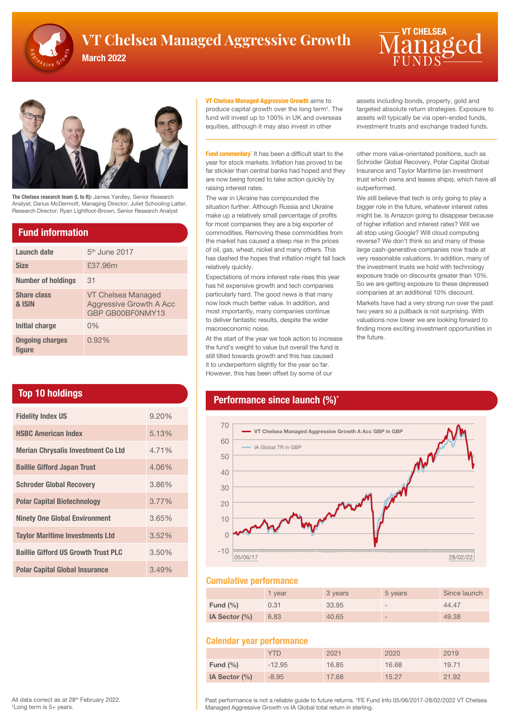

# **VT Chelsea Managed Aggressive Growth**  $\blacksquare$   $\overline{\textsf{M}}$  and  $\Omega$

March 2022





The Chelsea research team (L to R): James Yardley, Senior Research Analyst; Darius McDermott, Managing Director; Juliet Schooling Latter, Research Director; Ryan Lightfoot-Brown, Senior Research Analyst

### Fund information

| Launch date                      | 5 <sup>th</sup> June 2017                                                |
|----------------------------------|--------------------------------------------------------------------------|
| <b>Size</b>                      | £37.96m                                                                  |
| <b>Number of holdings</b>        | 31                                                                       |
| <b>Share class</b><br>& ISIN     | VT Chelsea Managed<br><b>Aggressive Growth A Acc</b><br>GBP GB00BF0NMY13 |
| Initial charge                   | $0\%$                                                                    |
| <b>Ongoing charges</b><br>fiaure | 0.92%                                                                    |

## Top 10 holdings

| <b>Fidelity Index US</b>                   | 9.20% |
|--------------------------------------------|-------|
| <b>HSBC American Index</b>                 | 5.13% |
| <b>Merian Chrysalis Investment Co Ltd</b>  | 4.71% |
| <b>Baillie Gifford Japan Trust</b>         | 4.06% |
| <b>Schroder Global Recovery</b>            | 3.86% |
| <b>Polar Capital Biotechnology</b>         | 3.77% |
| <b>Ninety One Global Environment</b>       | 3.65% |
| <b>Taylor Maritime Investments Ltd</b>     | 3.52% |
| <b>Baillie Gifford US Growth Trust PLC</b> | 3.50% |
| <b>Polar Capital Global Insurance</b>      | 3.49% |

# **VT Chelsea Managed Aggressive Growth aims to**

produce capital growth over the long term† . The fund will invest up to 100% in UK and overseas equities, although it may also invest in other

Fund commentary<sup>\*</sup> It has been a difficult start to the year for stock markets. Inflation has proved to be far stickier than central banks had hoped and they are now being forced to take action quickly by raising interest rates.

The war in Ukraine has compounded the situation further. Although Russia and Ukraine make up a relatively small percentage of profits for most companies they are a big exporter of commodities. Removing these commodities from the market has caused a steep rise in the prices of oil, gas, wheat, nickel and many others. This has dashed the hopes that inflation might fall back relatively quickly.

Expectations of more interest rate rises this year has hit expensive growth and tech companies particularly hard. The good news is that many now look much better value. In addition, and most importantly, many companies continue to deliver fantastic results, despite the wider macroeconomic noise.

At the start of the year we took action to increase the fund's weight to value but overall the fund is still tilted towards growth and this has caused it to underperform slightly for the year so far. However, this has been offset by some of our

assets including bonds, property, gold and targeted absolute return strategies. Exposure to assets will typically be via open-ended funds, investment trusts and exchange traded funds.

other more value-orientated positions, such as Schroder Global Recovery, Polar Capital Global Insurance and Taylor Maritime (an investment trust which owns and leases ships), which have all outperformed.

We still believe that tech is only going to play a bigger role in the future, whatever interest rates might be. Is Amazon going to disappear because of higher inflation and interest rates? Will we all stop using Google? Will cloud computing reverse? We don't think so and many of these large cash-generative companies now trade at very reasonable valuations. In addition, many of the investment trusts we hold with technology exposure trade on discounts greater than 10%. So we are getting exposure to these depressed companies at an additional 10% discount.

Markets have had a very strong run over the past two years so a pullback is not surprising. With valuations now lower we are looking forward to finding more exciting investment opportunities in the future.

## Performance since launch (%)<sup>\*</sup>



#### Cumulative performance

|                  | 1 vear | 3 years | 5 years                  | Since launch |
|------------------|--------|---------|--------------------------|--------------|
| Fund $(\% )$     | 0.31   | 33.95   | $\overline{\phantom{a}}$ | 44.47        |
| IA Sector $(\%)$ | 6.83   | 40.65   | $\overline{\phantom{a}}$ | 49.38        |

#### Calendar year performance

|               | <b>YTD</b> | 2021  | 2020  | 2019  |
|---------------|------------|-------|-------|-------|
| Fund $(\% )$  | $-12.95$   | 16.85 | 16.68 | 19.71 |
| IA Sector (%) | $-8.95$    | 17.68 | 15.27 | 21.92 |

Past performance is not a reliable guide to future returns. \*FE Fund Info 05/06/2017-28/02/2022 VT Chelsea Managed Aggressive Growth vs IA Global total return in sterling.